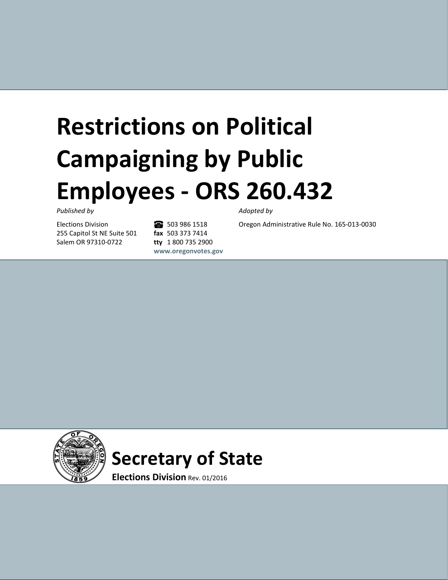# **Restrictions on Political Campaigning by Public Employees - ORS 260.432**

#### *Published by Adopted by*

Elections Division 255 Capitol St NE Suite 501 Salem OR 97310-0722

6 503 986 1518 **fax** 503 373 7414 **tty** 1 800 735 2900 **www.oregonvotes.gov**

Oregon Administrative Rule No. 165-013-0030

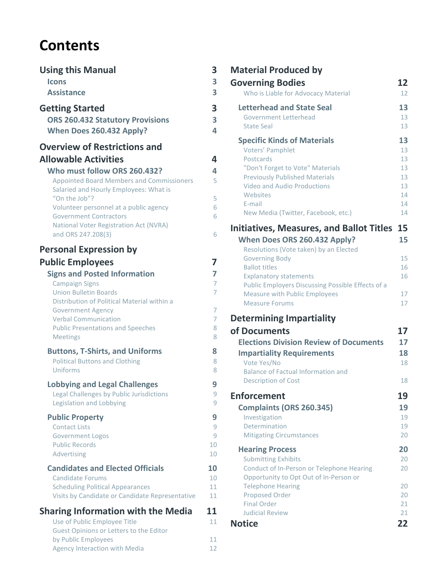# **Contents**

| <b>Using this Manual</b>                                                                                                                                                                                                                                                                                                          | 3                                                 |
|-----------------------------------------------------------------------------------------------------------------------------------------------------------------------------------------------------------------------------------------------------------------------------------------------------------------------------------|---------------------------------------------------|
| <b>Icons</b>                                                                                                                                                                                                                                                                                                                      | 3                                                 |
| <b>Assistance</b>                                                                                                                                                                                                                                                                                                                 | 3                                                 |
| <b>Getting Started</b>                                                                                                                                                                                                                                                                                                            | 3                                                 |
| <b>ORS 260.432 Statutory Provisions</b>                                                                                                                                                                                                                                                                                           | 3                                                 |
| When Does 260.432 Apply?                                                                                                                                                                                                                                                                                                          | 4                                                 |
| <b>Overview of Restrictions and</b><br><b>Allowable Activities</b><br>Who must follow ORS 260.432?<br><b>Appointed Board Members and Commissioners</b><br>Salaried and Hourly Employees: What is<br>"On the Job"?<br>Volunteer personnel at a public agency<br><b>Government Contractors</b>                                      | 4<br>4<br>5<br>5<br>6<br>6                        |
| National Voter Registration Act (NVRA)<br>and ORS 247.208(3)                                                                                                                                                                                                                                                                      | 6                                                 |
| <b>Personal Expression by</b><br><b>Public Employees</b><br><b>Signs and Posted Information</b><br><b>Campaign Signs</b><br><b>Union Bulletin Boards</b><br>Distribution of Political Material within a<br><b>Government Agency</b><br><b>Verbal Communication</b><br><b>Public Presentations and Speeches</b><br><b>Meetings</b> | 7<br>7<br>7<br>$\overline{7}$<br>7<br>7<br>8<br>8 |
| <b>Buttons, T-Shirts, and Uniforms</b>                                                                                                                                                                                                                                                                                            | 8                                                 |
| <b>Political Buttons and Clothing</b>                                                                                                                                                                                                                                                                                             | 8                                                 |
| Uniforms                                                                                                                                                                                                                                                                                                                          | 8                                                 |
| <b>Lobbying and Legal Challenges</b>                                                                                                                                                                                                                                                                                              | 9                                                 |
| Legal Challenges by Public Jurisdictions                                                                                                                                                                                                                                                                                          | 9                                                 |
| Legislation and Lobbying                                                                                                                                                                                                                                                                                                          | 9                                                 |
| <b>Public Property</b>                                                                                                                                                                                                                                                                                                            | 9                                                 |
| <b>Contact Lists</b>                                                                                                                                                                                                                                                                                                              | 9                                                 |
| <b>Government Logos</b>                                                                                                                                                                                                                                                                                                           | 9                                                 |
| <b>Public Records</b>                                                                                                                                                                                                                                                                                                             | 10                                                |
| Advertising                                                                                                                                                                                                                                                                                                                       | 10                                                |
| <b>Candidates and Elected Officials</b>                                                                                                                                                                                                                                                                                           | 10                                                |
| <b>Candidate Forums</b>                                                                                                                                                                                                                                                                                                           | 10                                                |
| <b>Scheduling Political Appearances</b>                                                                                                                                                                                                                                                                                           | 11                                                |
| Visits by Candidate or Candidate Representative                                                                                                                                                                                                                                                                                   | 11                                                |
| <b>Sharing Information with the Media</b><br>Use of Public Employee Title<br>Guest Opinions or Letters to the Editor                                                                                                                                                                                                              | 11<br>11                                          |
| by Public Employees                                                                                                                                                                                                                                                                                                               | 11                                                |
| <b>Agency Interaction with Media</b>                                                                                                                                                                                                                                                                                              | 12                                                |

### **Material Produced by**

| <b>Governing Bodies</b><br>Who is Liable for Advocacy Material                          | 12<br>$12 \overline{ }$ |
|-----------------------------------------------------------------------------------------|-------------------------|
| <b>Letterhead and State Seal</b><br>Government Letterhead                               | 13<br>13                |
| <b>State Seal</b>                                                                       | 13                      |
| <b>Specific Kinds of Materials</b><br>Voters' Pamphlet                                  | 13<br>13                |
| Postcards<br>"Don't Forget to Vote" Materials                                           | 13<br>13                |
| <b>Previously Published Materials</b><br><b>Video and Audio Productions</b><br>Websites | 13<br>13<br>14          |
| E-mail<br>New Media (Twitter, Facebook, etc.)                                           | 14<br>14                |
| <b>Initiatives, Measures, and Ballot Titles 15</b>                                      |                         |
| When Does ORS 260.432 Apply?<br>Resolutions (Vote taken) by an Elected                  | 15                      |
| <b>Governing Body</b><br><b>Ballot titles</b>                                           | 15                      |
| <b>Explanatory statements</b><br>Public Employers Discussing Possible Effects of a      | 16<br>16                |
| <b>Measure with Public Employees</b>                                                    | 17                      |
| <b>Measure Forums</b>                                                                   | 17                      |
| <b>Determining Impartiality</b>                                                         |                         |
| of Documents                                                                            | 17                      |
| <b>Elections Division Review of Documents</b>                                           | 17                      |
| <b>Impartiality Requirements</b><br>Vote Yes/No                                         | 18<br>18                |
| <b>Balance of Factual Information and</b>                                               |                         |
| <b>Description of Cost</b>                                                              | 18                      |
| <b>Enforcement</b>                                                                      | 19                      |
| Complaints (ORS 260.345)                                                                | 19                      |
| Investigation                                                                           | 19                      |
| Determination<br><b>Mitigating Circumstances</b>                                        | 19<br>20                |
|                                                                                         |                         |
| <b>Hearing Process</b><br><b>Submitting Exhibits</b>                                    | 20<br>20                |
| Conduct of In-Person or Telephone Hearing<br>Opportunity to Opt Out of In-Person or     | 20                      |
| <b>Telephone Hearing</b>                                                                | 20                      |
| Proposed Order                                                                          | 20                      |
| <b>Final Order</b><br><b>Judicial Review</b>                                            | 21<br>21                |
| <b>Notice</b>                                                                           | 22                      |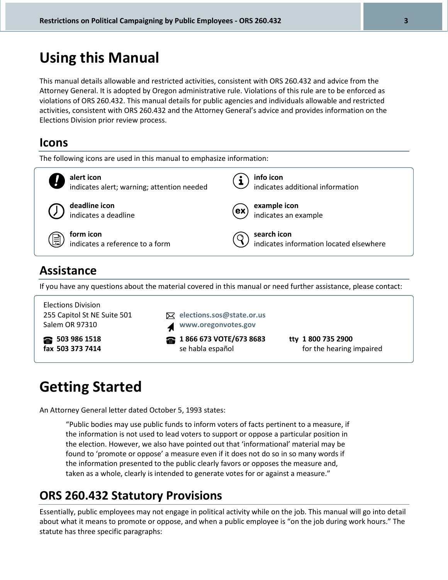## **Using this Manual**

This manual details allowable and restricted activities, consistent with ORS 260.432 and advice from the Attorney General. It is adopted by Oregon administrative rule. Violations of this rule are to be enforced as violations of ORS 260.432. This manual details for public agencies and individuals allowable and restricted activities, consistent with ORS 260.432 and the Attorney General's advice and provides information on the Elections Division prior review process.

### **Icons**



255 Capitol St NE Suite 501 Salem OR 97310 **elections.sos@state.or.us www.oregonvotes.gov 503 986 1518 fax 503 373 7414 1 866 673 VOTE/673 8683** se habla español **tty 1 800 735 2900** for the hearing impaired

# **Getting Started**

An Attorney General letter dated October 5, 1993 states:

"Public bodies may use public funds to inform voters of facts pertinent to a measure, if the information is not used to lead voters to support or oppose a particular position in the election. However, we also have pointed out that 'informational' material may be found to 'promote or oppose' a measure even if it does not do so in so many words if the information presented to the public clearly favors or opposes the measure and, taken as a whole, clearly is intended to generate votes for or against a measure."

### **ORS 260.432 Statutory Provisions**

Essentially, public employees may not engage in political activity while on the job. This manual will go into detail about what it means to promote or oppose, and when a public employee is "on the job during work hours." The statute has three specific paragraphs: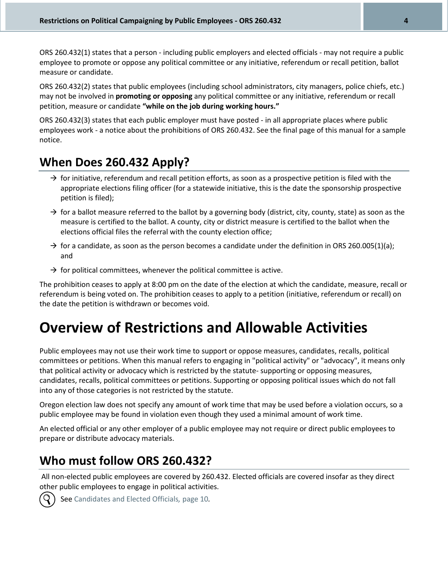ORS 260.432(1) states that a person - including public employers and elected officials - may not require a public employee to promote or oppose any political committee or any initiative, referendum or recall petition, ballot measure or candidate.

ORS 260.432(2) states that public employees (including school administrators, city managers, police chiefs, etc.) may not be involved in **promoting or opposing** any political committee or any initiative, referendum or recall petition, measure or candidate **"while on the job during working hours."**

ORS 260.432(3) states that each public employer must have posted - in all appropriate places where public employees work - a notice about the prohibitions of ORS 260.432. See the final page of this manual for a sample notice.

### **When Does 260.432 Apply?**

- $\rightarrow$  for initiative, referendum and recall petition efforts, as soon as a prospective petition is filed with the appropriate elections filing officer (for a statewide initiative, this is the date the sponsorship prospective petition is filed);
- $\rightarrow$  for a ballot measure referred to the ballot by a governing body (district, city, county, state) as soon as the measure is certified to the ballot. A county, city or district measure is certified to the ballot when the elections official files the referral with the county election office;
- $\rightarrow$  for a candidate, as soon as the person becomes a candidate under the definition in ORS 260.005(1)(a); and
- $\rightarrow$  for political committees, whenever the political committee is active.

The prohibition ceases to apply at 8:00 pm on the date of the election at which the candidate, measure, recall or referendum is being voted on. The prohibition ceases to apply to a petition (initiative, referendum or recall) on the date the petition is withdrawn or becomes void.

# **Overview of Restrictions and Allowable Activities**

Public employees may not use their work time to support or oppose measures, candidates, recalls, political committees or petitions. When this manual refers to engaging in "political activity" or "advocacy", it means only that political activity or advocacy which is restricted by the statute- supporting or opposing measures, candidates, recalls, political committees or petitions. Supporting or opposing political issues which do not fall into any of those categories is not restricted by the statute.

Oregon election law does not specify any amount of work time that may be used before a violation occurs, so a public employee may be found in violation even though they used a minimal amount of work time.

An elected official or any other employer of a public employee may not require or direct public employees to prepare or distribute advocacy materials.

### **Who must follow ORS 260.432?**

All non-elected public employees are covered by 260.432. Elected officials are covered insofar as they direct other public employees to engage in political activities.



See Candidates and Elected Officials*,* page 10*.*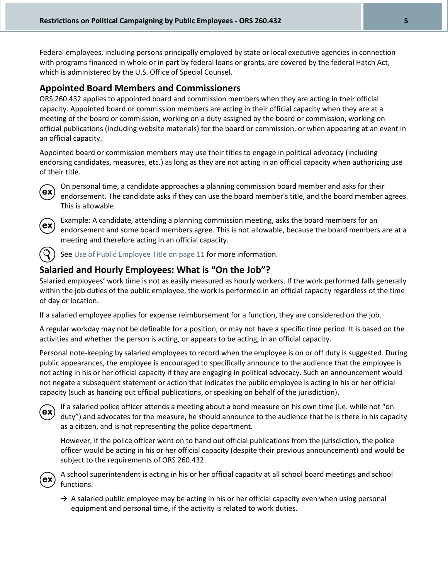Federal employees, including persons principally employed by state or local executive agencies in connection with programs financed in whole or in part by federal loans or grants, are covered by the federal Hatch Act, which is administered by the U.S. Office of Special Counsel.

### **Appointed Board Members and Commissioners**

ORS 260.432 applies to appointed board and commission members when they are acting in their official capacity. Appointed board or commission members are acting in their official capacity when they are at a meeting of the board or commission, working on a duty assigned by the board or commission, working on official publications (including website materials) for the board or commission, or when appearing at an event in an official capacity.

Appointed board or commission members may use their titles to engage in political advocacy (including endorsing candidates, measures, etc.) as long as they are not acting in an official capacity when authorizing use of their title.



On personal time, a candidate approaches a planning commission board member and asks for their endorsement. The candidate asks if they can use the board member's title, and the board member agrees. This is allowable.



Example: A candidate, attending a planning commission meeting, asks the board members for an endorsement and some board members agree. This is not allowable, because the board members are at a meeting and therefore acting in an official capacity.

See Use of Public Employee Title on page 11 for more information.

### **Salaried and Hourly Employees: What is "On the Job"?**

Salaried employees' work time is not as easily measured as hourly workers. If the work performed falls generally within the job duties of the public employee, the work is performed in an official capacity regardless of the time of day or location.

If a salaried employee applies for expense reimbursement for a function, they are considered on the job.

A regular workday may not be definable for a position, or may not have a specific time period. It is based on the activities and whether the person is acting, or appears to be acting, in an official capacity.

Personal note-keeping by salaried employees to record when the employee is on or off duty is suggested. During public appearances, the employee is encouraged to specifically announce to the audience that the employee is not acting in his or her official capacity if they are engaging in political advocacy. Such an announcement would not negate a subsequent statement or action that indicates the public employee is acting in his or her official capacity (such as handing out official publications, or speaking on behalf of the jurisdiction).



If a salaried police officer attends a meeting about a bond measure on his own time (i.e. while not "on duty") and advocates for the measure, he should announce to the audience that he is there in his capacity as a citizen, and is not representing the police department.

However, if the police officer went on to hand out official publications from the jurisdiction, the police officer would be acting in his or her official capacity (despite their previous announcement) and would be subject to the requirements of ORS 260.432.



A school superintendent is acting in his or her official capacity at all school board meetings and school functions.

 $\rightarrow$  A salaried public employee may be acting in his or her official capacity even when using personal equipment and personal time, if the activity is related to work duties.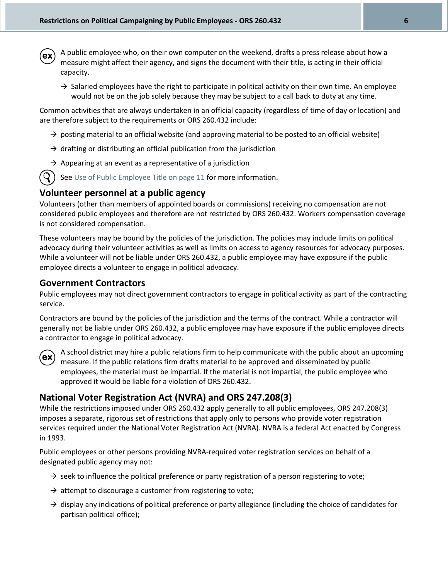- A public employee who, on their own computer on the weekend, drafts a press release about how a ex measure might affect their agency, and signs the document with their title, is acting in their official capacity.
	- $\rightarrow$  Salaried employees have the right to participate in political activity on their own time. An employee would not be on the job solely because they may be subject to a call back to duty at any time.

Common activities that are always undertaken in an official capacity (regardless of time of day or location) and are therefore subject to the requirements or ORS 260.432 include:

- $\rightarrow$  posting material to an official website (and approving material to be posted to an official website)
- $\rightarrow$  drafting or distributing an official publication from the jurisdiction
- $\rightarrow$  Appearing at an event as a representative of a jurisdiction
- $\mathcal{S}(S)$  See Use of Public Employee Title on page 11 for more information.

#### **Volunteer personnel at a public agency**

Volunteers (other than members of appointed boards or commissions) receiving no compensation are not considered public employees and therefore are not restricted by ORS 260.432. Workers compensation coverage is not considered compensation.

These volunteers may be bound by the policies of the jurisdiction. The policies may include limits on political advocacy during their volunteer activities as well as limits on access to agency resources for advocacy purposes. While a volunteer will not be liable under ORS 260.432, a public employee may have exposure if the public employee directs a volunteer to engage in political advocacy.

#### **Government Contractors**

Public employees may not direct government contractors to engage in political activity as part of the contracting service.

Contractors are bound by the policies of the jurisdiction and the terms of the contract. While a contractor will generally not be liable under ORS 260.432, a public employee may have exposure if the public employee directs a contractor to engage in political advocacy.



A school district may hire a public relations firm to help communicate with the public about an upcoming measure. If the public relations firm drafts material to be approved and disseminated by public employees, the material must be impartial. If the material is not impartial, the public employee who approved it would be liable for a violation of ORS 260.432.

### **National Voter Registration Act (NVRA) and ORS 247.208(3)**

While the restrictions imposed under ORS 260.432 apply generally to all public employees, ORS 247.208(3) imposes a separate, rigorous set of restrictions that apply only to persons who provide voter registration services required under the National Voter Registration Act (NVRA). NVRA is a federal Act enacted by Congress in 1993.

Public employees or other persons providing NVRA-required voter registration services on behalf of a designated public agency may not:

- $\rightarrow$  seek to influence the political preference or party registration of a person registering to vote;
- $\rightarrow$  attempt to discourage a customer from registering to vote;
- $\rightarrow$  display any indications of political preference or party allegiance (including the choice of candidates for partisan political office);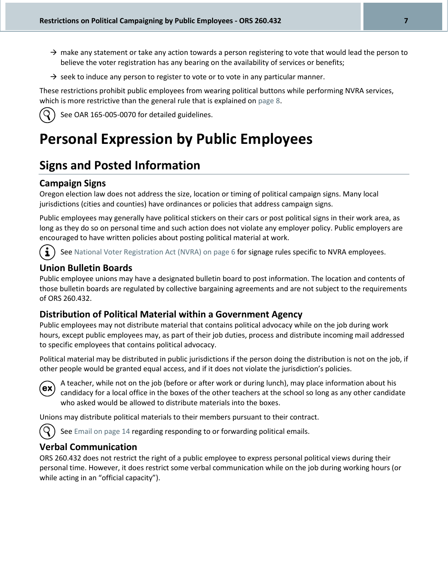- $\rightarrow$  make any statement or take any action towards a person registering to vote that would lead the person to believe the voter registration has any bearing on the availability of services or benefits;
- $\rightarrow$  seek to induce any person to register to vote or to vote in any particular manner.

These restrictions prohibit public employees from wearing political buttons while performing NVRA services, which is more restrictive than the general rule that is explained on page 8.



See OAR 165-005-0070 for detailed guidelines.

# **Personal Expression by Public Employees**

### **Signs and Posted Information**

### **Campaign Signs**

Oregon election law does not address the size, location or timing of political campaign signs. Many local jurisdictions (cities and counties) have ordinances or policies that address campaign signs.

Public employees may generally have political stickers on their cars or post political signs in their work area, as long as they do so on personal time and such action does not violate any employer policy. Public employers are encouraged to have written policies about posting political material at work.

See National Voter Registration Act (NVRA) on page 6 for signage rules specific to NVRA employees.

### **Union Bulletin Boards**

Public employee unions may have a designated bulletin board to post information. The location and contents of those bulletin boards are regulated by collective bargaining agreements and are not subject to the requirements of ORS 260.432.

### **Distribution of Political Material within a Government Agency**

Public employees may not distribute material that contains political advocacy while on the job during work hours, except public employees may, as part of their job duties, process and distribute incoming mail addressed to specific employees that contains political advocacy.

Political material may be distributed in public jurisdictions if the person doing the distribution is not on the job, if other people would be granted equal access, and if it does not violate the jurisdiction's policies.



้เ

A teacher, while not on the job (before or after work or during lunch), may place information about his candidacy for a local office in the boxes of the other teachers at the school so long as any other candidate who asked would be allowed to distribute materials into the boxes.

Unions may distribute political materials to their members pursuant to their contract.



See Email on page 14 regarding responding to or forwarding political emails.

### **Verbal Communication**

ORS 260.432 does not restrict the right of a public employee to express personal political views during their personal time. However, it does restrict some verbal communication while on the job during working hours (or while acting in an "official capacity").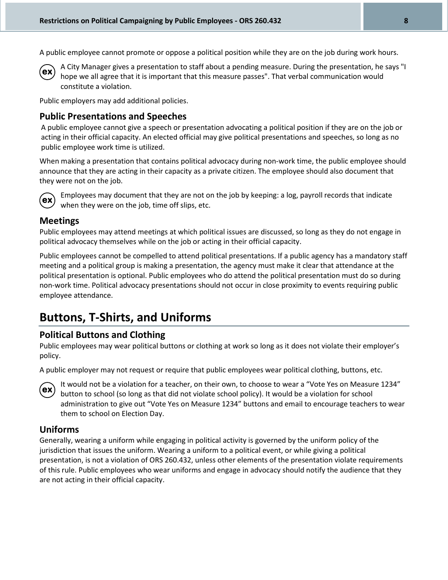A public employee cannot promote or oppose a political position while they are on the job during work hours.



A City Manager gives a presentation to staff about a pending measure. During the presentation, he says "I hope we all agree that it is important that this measure passes". That verbal communication would constitute a violation.

Public employers may add additional policies.

### **Public Presentations and Speeches**

A public employee cannot give a speech or presentation advocating a political position if they are on the job or acting in their official capacity. An elected official may give political presentations and speeches, so long as no public employee work time is utilized.

When making a presentation that contains political advocacy during non-work time, the public employee should announce that they are acting in their capacity as a private citizen. The employee should also document that they were not on the job.



Employees may document that they are not on the job by keeping: a log, payroll records that indicate when they were on the job, time off slips, etc.

### **Meetings**

Public employees may attend meetings at which political issues are discussed, so long as they do not engage in political advocacy themselves while on the job or acting in their official capacity.

Public employees cannot be compelled to attend political presentations. If a public agency has a mandatory staff meeting and a political group is making a presentation, the agency must make it clear that attendance at the political presentation is optional. Public employees who do attend the political presentation must do so during non-work time. Political advocacy presentations should not occur in close proximity to events requiring public employee attendance.

### **Buttons, T-Shirts, and Uniforms**

### **Political Buttons and Clothing**

Public employees may wear political buttons or clothing at work so long as it does not violate their employer's policy.

A public employer may not request or require that public employees wear political clothing, buttons, etc.



It would not be a violation for a teacher, on their own, to choose to wear a "Vote Yes on Measure 1234" button to school (so long as that did not violate school policy). It would be a violation for school administration to give out "Vote Yes on Measure 1234" buttons and email to encourage teachers to wear them to school on Election Day.

### **Uniforms**

Generally, wearing a uniform while engaging in political activity is governed by the uniform policy of the jurisdiction that issues the uniform. Wearing a uniform to a political event, or while giving a political presentation, is not a violation of ORS 260.432, unless other elements of the presentation violate requirements of this rule. Public employees who wear uniforms and engage in advocacy should notify the audience that they are not acting in their official capacity.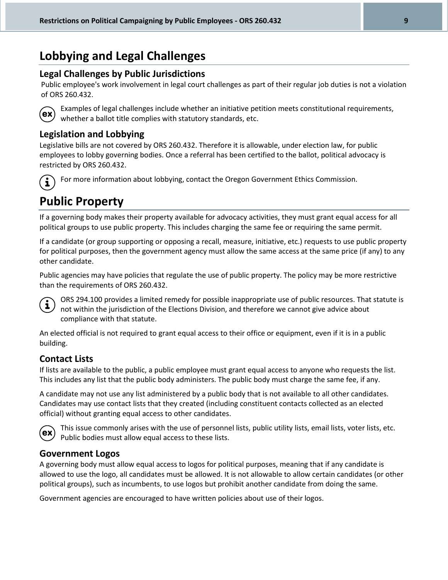### **Lobbying and Legal Challenges**

### **Legal Challenges by Public Jurisdictions**

Public employee's work involvement in legal court challenges as part of their regular job duties is not a violation of ORS 260.432.



Examples of legal challenges include whether an initiative petition meets constitutional requirements, whether a ballot title complies with statutory standards, etc.

### **Legislation and Lobbying**

Legislative bills are not covered by ORS 260.432. Therefore it is allowable, under election law, for public employees to lobby governing bodies. Once a referral has been certified to the ballot, political advocacy is restricted by ORS 260.432.



For more information about lobbying, contact the Oregon Government Ethics Commission.

## **Public Property**

If a governing body makes their property available for advocacy activities, they must grant equal access for all political groups to use public property. This includes charging the same fee or requiring the same permit.

If a candidate (or group supporting or opposing a recall, measure, initiative, etc.) requests to use public property for political purposes, then the government agency must allow the same access at the same price (if any) to any other candidate.

Public agencies may have policies that regulate the use of public property. The policy may be more restrictive than the requirements of ORS 260.432.



ORS 294.100 provides a limited remedy for possible inappropriate use of public resources. That statute is not within the jurisdiction of the Elections Division, and therefore we cannot give advice about compliance with that statute.

An elected official is not required to grant equal access to their office or equipment, even if it is in a public building.

### **Contact Lists**

If lists are available to the public, a public employee must grant equal access to anyone who requests the list. This includes any list that the public body administers. The public body must charge the same fee, if any.

A candidate may not use any list administered by a public body that is not available to all other candidates. Candidates may use contact lists that they created (including constituent contacts collected as an elected official) without granting equal access to other candidates.



This issue commonly arises with the use of personnel lists, public utility lists, email lists, voter lists, etc. Public bodies must allow equal access to these lists.

### **Government Logos**

A governing body must allow equal access to logos for political purposes, meaning that if any candidate is allowed to use the logo, all candidates must be allowed. It is not allowable to allow certain candidates (or other political groups), such as incumbents, to use logos but prohibit another candidate from doing the same.

Government agencies are encouraged to have written policies about use of their logos.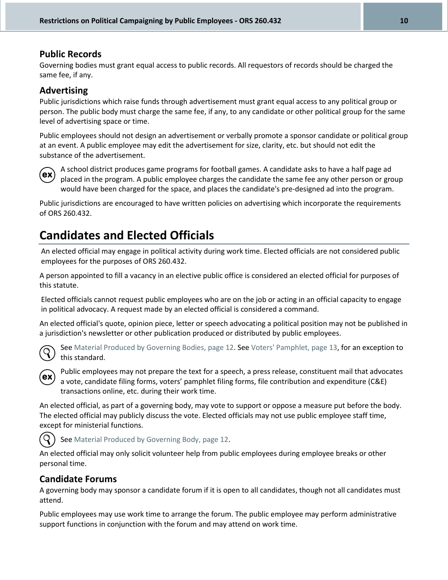### **Public Records**

Governing bodies must grant equal access to public records. All requestors of records should be charged the same fee, if any.

### **Advertising**

Public jurisdictions which raise funds through advertisement must grant equal access to any political group or person. The public body must charge the same fee, if any, to any candidate or other political group for the same level of advertising space or time.

Public employees should not design an advertisement or verbally promote a sponsor candidate or political group at an event. A public employee may edit the advertisement for size, clarity, etc. but should not edit the substance of the advertisement.



A school district produces game programs for football games. A candidate asks to have a half page ad placed in the program. A public employee charges the candidate the same fee any other person or group would have been charged for the space, and places the candidate's pre-designed ad into the program.

Public jurisdictions are encouraged to have written policies on advertising which incorporate the requirements of ORS 260.432.

### **Candidates and Elected Officials**

An elected official may engage in political activity during work time. Elected officials are not considered public employees for the purposes of ORS 260.432.

A person appointed to fill a vacancy in an elective public office is considered an elected official for purposes of this statute.

Elected officials cannot request public employees who are on the job or acting in an official capacity to engage in political advocacy. A request made by an elected official is considered a command.

An elected official's quote, opinion piece, letter or speech advocating a political position may not be published in a jurisdiction's newsletter or other publication produced or distributed by public employees.



See Material Produced by Governing Bodies, page 12. See Voters' Pamphlet, page 13, for an exception to this standard.



Public employees may not prepare the text for a speech, a press release, constituent mail that advocates a vote, candidate filing forms, voters' pamphlet filing forms, file contribution and expenditure (C&E) transactions online, etc. during their work time.

An elected official, as part of a governing body, may vote to support or oppose a measure put before the body. The elected official may publicly discuss the vote. Elected officials may not use public employee staff time, except for ministerial functions.



An elected official may only solicit volunteer help from public employees during employee breaks or other personal time.

### **Candidate Forums**

A governing body may sponsor a candidate forum if it is open to all candidates, though not all candidates must attend.

Public employees may use work time to arrange the forum. The public employee may perform administrative support functions in conjunction with the forum and may attend on work time.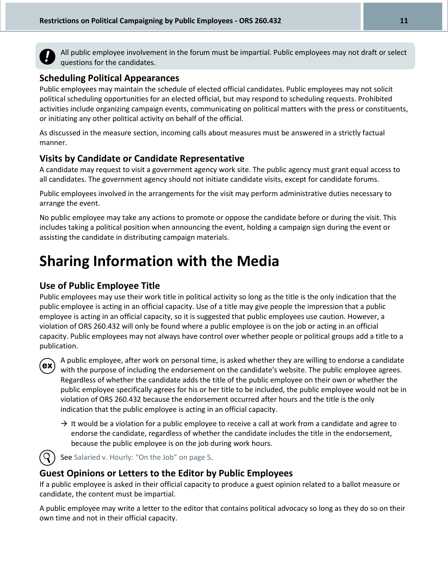

All public employee involvement in the forum must be impartial. Public employees may not draft or select questions for the candidates.

### **Scheduling Political Appearances**

Public employees may maintain the schedule of elected official candidates. Public employees may not solicit political scheduling opportunities for an elected official, but may respond to scheduling requests. Prohibited activities include organizing campaign events, communicating on political matters with the press or constituents, or initiating any other political activity on behalf of the official.

As discussed in the measure section, incoming calls about measures must be answered in a strictly factual manner.

### **Visits by Candidate or Candidate Representative**

A candidate may request to visit a government agency work site. The public agency must grant equal access to all candidates. The government agency should not initiate candidate visits, except for candidate forums.

Public employees involved in the arrangements for the visit may perform administrative duties necessary to arrange the event.

No public employee may take any actions to promote or oppose the candidate before or during the visit. This includes taking a political position when announcing the event, holding a campaign sign during the event or assisting the candidate in distributing campaign materials.

# **Sharing Information with the Media**

### **Use of Public Employee Title**

Public employees may use their work title in political activity so long as the title is the only indication that the public employee is acting in an official capacity. Use of a title may give people the impression that a public employee is acting in an official capacity, so it is suggested that public employees use caution. However, a violation of ORS 260.432 will only be found where a public employee is on the job or acting in an official capacity. Public employees may not always have control over whether people or political groups add a title to a publication.



A public employee, after work on personal time, is asked whether they are willing to endorse a candidate with the purpose of including the endorsement on the candidate's website. The public employee agrees. Regardless of whether the candidate adds the title of the public employee on their own or whether the public employee specifically agrees for his or her title to be included, the public employee would not be in violation of ORS 260.432 because the endorsement occurred after hours and the title is the only indication that the public employee is acting in an official capacity.

 $\rightarrow$  It would be a violation for a public employee to receive a call at work from a candidate and agree to endorse the candidate, regardless of whether the candidate includes the title in the endorsement, because the public employee is on the job during work hours.



See Salaried v. Hourly: "On the Job" on page 5.

### **Guest Opinions or Letters to the Editor by Public Employees**

If a public employee is asked in their official capacity to produce a guest opinion related to a ballot measure or candidate, the content must be impartial.

A public employee may write a letter to the editor that contains political advocacy so long as they do so on their own time and not in their official capacity.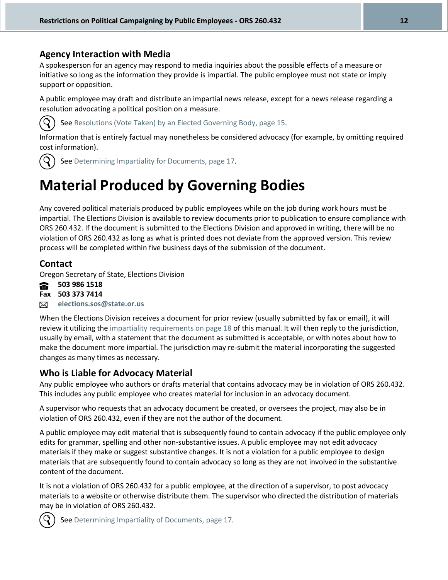### **Agency Interaction with Media**

A spokesperson for an agency may respond to media inquiries about the possible effects of a measure or initiative so long as the information they provide is impartial. The public employee must not state or imply support or opposition.

A public employee may draft and distribute an impartial news release, except for a news release regarding a resolution advocating a political position on a measure.



See Resolutions (Vote Taken) by an Elected Governing Body, page 15.

Information that is entirely factual may nonetheless be considered advocacy (for example, by omitting required cost information).



See Determining Impartiality for Documents, page 17.

# **Material Produced by Governing Bodies**

Any covered political materials produced by public employees while on the job during work hours must be impartial. The Elections Division is available to review documents prior to publication to ensure compliance with ORS 260.432. If the document is submitted to the Elections Division and approved in writing, there will be no violation of ORS 260.432 as long as what is printed does not deviate from the approved version. This review process will be completed within five business days of the submission of the document.

### **Contact**

Oregon Secretary of State, Elections Division

8 **503 986 1518 Fax 503 373 7414 elections.sos@state.or.us** ⊠

When the Elections Division receives a document for prior review (usually submitted by fax or email), it will review it utilizing the impartiality requirements on page 18 of this manual. It will then reply to the jurisdiction, usually by email, with a statement that the document as submitted is acceptable, or with notes about how to make the document more impartial. The jurisdiction may re-submit the material incorporating the suggested changes as many times as necessary.

### **Who is Liable for Advocacy Material**

Any public employee who authors or drafts material that contains advocacy may be in violation of ORS 260.432. This includes any public employee who creates material for inclusion in an advocacy document.

A supervisor who requests that an advocacy document be created, or oversees the project, may also be in violation of ORS 260.432, even if they are not the author of the document.

A public employee may edit material that is subsequently found to contain advocacy if the public employee only edits for grammar, spelling and other non-substantive issues. A public employee may not edit advocacy materials if they make or suggest substantive changes. It is not a violation for a public employee to design materials that are subsequently found to contain advocacy so long as they are not involved in the substantive content of the document.

It is not a violation of ORS 260.432 for a public employee, at the direction of a supervisor, to post advocacy materials to a website or otherwise distribute them. The supervisor who directed the distribution of materials may be in violation of ORS 260.432.



See Determining Impartiality of Documents, page 17.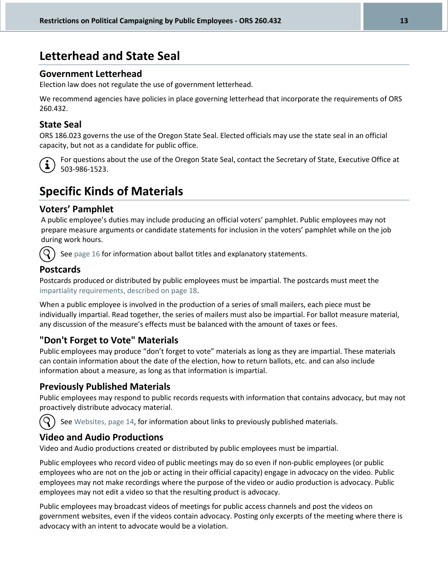### **Letterhead and State Seal**

### **Government Letterhead**

Election law does not regulate the use of government letterhead.

We recommend agencies have policies in place governing letterhead that incorporate the requirements of ORS 260.432.

### **State Seal**

ORS 186.023 governs the use of the Oregon State Seal. Elected officials may use the state seal in an official capacity, but not as a candidate for public office.



For questions about the use of the Oregon State Seal, contact the Secretary of State, Executive Office at 503-986-1523.

### **Specific Kinds of Materials**

### **Voters' Pamphlet**

A public employee's duties may include producing an official voters' pamphlet. Public employees may not prepare measure arguments or candidate statements for inclusion in the voters' pamphlet while on the job during work hours.



See page 16 for information about ballot titles and explanatory statements.

### **Postcards**

Postcards produced or distributed by public employees must be impartial. The postcards must meet the impartiality requirements, described on page 18.

When a public employee is involved in the production of a series of small mailers, each piece must be individually impartial. Read together, the series of mailers must also be impartial. For ballot measure material, any discussion of the measure's effects must be balanced with the amount of taxes or fees.

### **"Don't Forget to Vote" Materials**

Public employees may produce "don't forget to vote" materials as long as they are impartial. These materials can contain information about the date of the election, how to return ballots, etc. and can also include information about a measure, as long as that information is impartial.

### **Previously Published Materials**

Public employees may respond to public records requests with information that contains advocacy, but may not proactively distribute advocacy material.



See Websites, page 14, for information about links to previously published materials.

### **Video and Audio Productions**

Video and Audio productions created or distributed by public employees must be impartial.

Public employees who record video of public meetings may do so even if non-public employees (or public employees who are not on the job or acting in their official capacity) engage in advocacy on the video. Public employees may not make recordings where the purpose of the video or audio production is advocacy. Public employees may not edit a video so that the resulting product is advocacy.

Public employees may broadcast videos of meetings for public access channels and post the videos on government websites, even if the videos contain advocacy. Posting only excerpts of the meeting where there is advocacy with an intent to advocate would be a violation.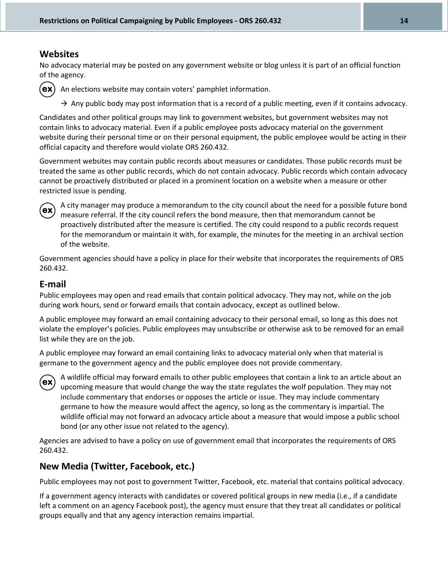### **Websites**

No advocacy material may be posted on any government website or blog unless it is part of an official function of the agency.



An elections website may contain voters' pamphlet information.

 $\rightarrow$  Any public body may post information that is a record of a public meeting, even if it contains advocacy.

Candidates and other political groups may link to government websites, but government websites may not contain links to advocacy material. Even if a public employee posts advocacy material on the government website during their personal time or on their personal equipment, the public employee would be acting in their official capacity and therefore would violate ORS 260.432.

Government websites may contain public records about measures or candidates. Those public records must be treated the same as other public records, which do not contain advocacy. Public records which contain advocacy cannot be proactively distributed or placed in a prominent location on a website when a measure or other restricted issue is pending.



A city manager may produce a memorandum to the city council about the need for a possible future bond measure referral. If the city council refers the bond measure, then that memorandum cannot be proactively distributed after the measure is certified. The city could respond to a public records request for the memorandum or maintain it with, for example, the minutes for the meeting in an archival section of the website.

Government agencies should have a policy in place for their website that incorporates the requirements of ORS 260.432.

### **E-mail**

Public employees may open and read emails that contain political advocacy. They may not, while on the job during work hours, send or forward emails that contain advocacy, except as outlined below.

A public employee may forward an email containing advocacy to their personal email, so long as this does not violate the employer's policies. Public employees may unsubscribe or otherwise ask to be removed for an email list while they are on the job.

A public employee may forward an email containing links to advocacy material only when that material is germane to the government agency and the public employee does not provide commentary.



A wildlife official may forward emails to other public employees that contain a link to an article about an upcoming measure that would change the way the state regulates the wolf population. They may not include commentary that endorses or opposes the article or issue. They may include commentary germane to how the measure would affect the agency, so long as the commentary is impartial. The wildlife official may not forward an advocacy article about a measure that would impose a public school bond (or any other issue not related to the agency).

Agencies are advised to have a policy on use of government email that incorporates the requirements of ORS 260.432.

### **New Media (Twitter, Facebook, etc.)**

Public employees may not post to government Twitter, Facebook, etc. material that contains political advocacy.

If a government agency interacts with candidates or covered political groups in new media (i.e., if a candidate left a comment on an agency Facebook post), the agency must ensure that they treat all candidates or political groups equally and that any agency interaction remains impartial.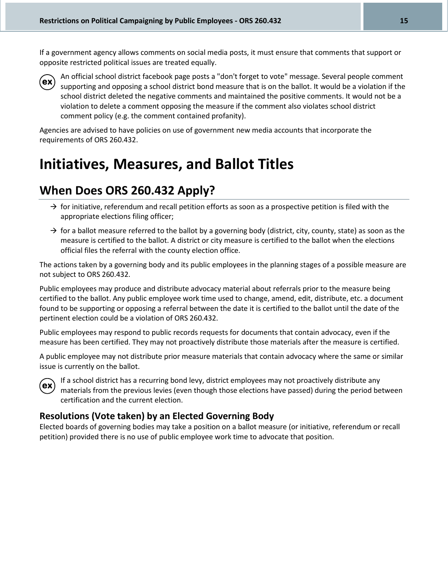If a government agency allows comments on social media posts, it must ensure that comments that support or opposite restricted political issues are treated equally.



An official school district facebook page posts a "don't forget to vote" message. Several people comment supporting and opposing a school district bond measure that is on the ballot. It would be a violation if the school district deleted the negative comments and maintained the positive comments. It would not be a violation to delete a comment opposing the measure if the comment also violates school district comment policy (e.g. the comment contained profanity).

Agencies are advised to have policies on use of government new media accounts that incorporate the requirements of ORS 260.432.

# **Initiatives, Measures, and Ballot Titles**

### **When Does ORS 260.432 Apply?**

- $\rightarrow$  for initiative, referendum and recall petition efforts as soon as a prospective petition is filed with the appropriate elections filing officer;
- $\rightarrow$  for a ballot measure referred to the ballot by a governing body (district, city, county, state) as soon as the measure is certified to the ballot. A district or city measure is certified to the ballot when the elections official files the referral with the county election office.

The actions taken by a governing body and its public employees in the planning stages of a possible measure are not subject to ORS 260.432.

Public employees may produce and distribute advocacy material about referrals prior to the measure being certified to the ballot. Any public employee work time used to change, amend, edit, distribute, etc. a document found to be supporting or opposing a referral between the date it is certified to the ballot until the date of the pertinent election could be a violation of ORS 260.432.

Public employees may respond to public records requests for documents that contain advocacy, even if the measure has been certified. They may not proactively distribute those materials after the measure is certified.

A public employee may not distribute prior measure materials that contain advocacy where the same or similar issue is currently on the ballot.



If a school district has a recurring bond levy, district employees may not proactively distribute any materials from the previous levies (even though those elections have passed) during the period between certification and the current election.

### **Resolutions (Vote taken) by an Elected Governing Body**

Elected boards of governing bodies may take a position on a ballot measure (or initiative, referendum or recall petition) provided there is no use of public employee work time to advocate that position.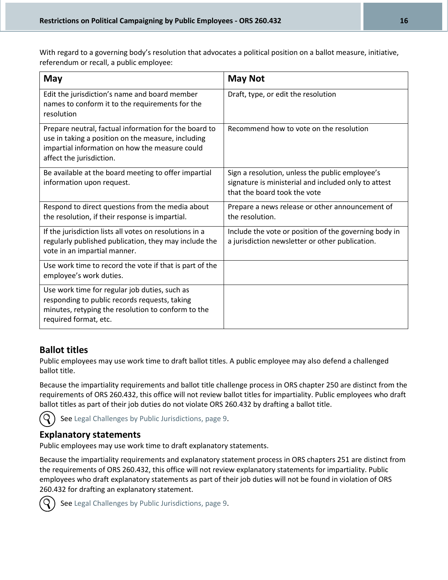With regard to a governing body's resolution that advocates a political position on a ballot measure, initiative, referendum or recall, a public employee:

| May                                                                                                                                                                                       | <b>May Not</b>                                                                                                                          |
|-------------------------------------------------------------------------------------------------------------------------------------------------------------------------------------------|-----------------------------------------------------------------------------------------------------------------------------------------|
| Edit the jurisdiction's name and board member<br>names to conform it to the requirements for the<br>resolution                                                                            | Draft, type, or edit the resolution                                                                                                     |
| Prepare neutral, factual information for the board to<br>use in taking a position on the measure, including<br>impartial information on how the measure could<br>affect the jurisdiction. | Recommend how to vote on the resolution                                                                                                 |
| Be available at the board meeting to offer impartial<br>information upon request.                                                                                                         | Sign a resolution, unless the public employee's<br>signature is ministerial and included only to attest<br>that the board took the vote |
| Respond to direct questions from the media about<br>the resolution, if their response is impartial.                                                                                       | Prepare a news release or other announcement of<br>the resolution.                                                                      |
| If the jurisdiction lists all votes on resolutions in a<br>regularly published publication, they may include the<br>vote in an impartial manner.                                          | Include the vote or position of the governing body in<br>a jurisdiction newsletter or other publication.                                |
| Use work time to record the vote if that is part of the<br>employee's work duties.                                                                                                        |                                                                                                                                         |
| Use work time for regular job duties, such as<br>responding to public records requests, taking<br>minutes, retyping the resolution to conform to the<br>required format, etc.             |                                                                                                                                         |

### **Ballot titles**

Public employees may use work time to draft ballot titles. A public employee may also defend a challenged ballot title.

Because the impartiality requirements and ballot title challenge process in ORS chapter 250 are distinct from the requirements of ORS 260.432, this office will not review ballot titles for impartiality. Public employees who draft ballot titles as part of their job duties do not violate ORS 260.432 by drafting a ballot title.

See Legal Challenges by Public Jurisdictions, page 9.

### **Explanatory statements**

Public employees may use work time to draft explanatory statements.

Because the impartiality requirements and explanatory statement process in ORS chapters 251 are distinct from the requirements of ORS 260.432, this office will not review explanatory statements for impartiality. Public employees who draft explanatory statements as part of their job duties will not be found in violation of ORS 260.432 for drafting an explanatory statement.



See Legal Challenges by Public Jurisdictions, page 9.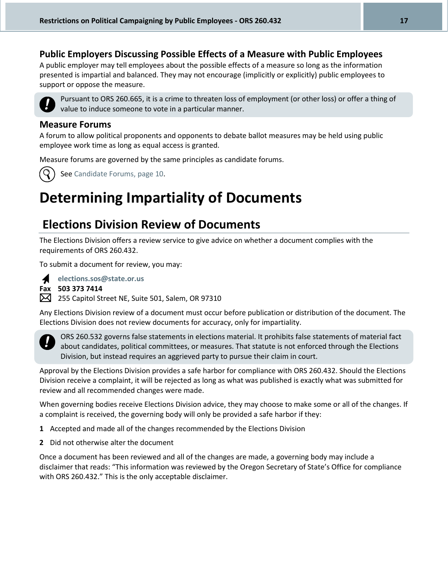### **Public Employers Discussing Possible Effects of a Measure with Public Employees**

A public employer may tell employees about the possible effects of a measure so long as the information presented is impartial and balanced. They may not encourage (implicitly or explicitly) public employees to support or oppose the measure.



Pursuant to ORS 260.665, it is a crime to threaten loss of employment (or other loss) or offer a thing of value to induce someone to vote in a particular manner.

#### **Measure Forums**

A forum to allow political proponents and opponents to debate ballot measures may be held using public employee work time as long as equal access is granted.

Measure forums are governed by the same principles as candidate forums.



See Candidate Forums, page 10.

# **Determining Impartiality of Documents**

### **Elections Division Review of Documents**

The Elections Division offers a review service to give advice on whether a document complies with the requirements of ORS 260.432.

To submit a document for review, you may:



**elections.sos@state.or.us Fax 503 373 7414**

255 Capitol Street NE, Suite 501, Salem, OR 97310

Any Elections Division review of a document must occur before publication or distribution of the document. The Elections Division does not review documents for accuracy, only for impartiality.



ORS 260.532 governs false statements in elections material. It prohibits false statements of material fact about candidates, political committees, or measures. That statute is not enforced through the Elections Division, but instead requires an aggrieved party to pursue their claim in court.

Approval by the Elections Division provides a safe harbor for compliance with ORS 260.432. Should the Elections Division receive a complaint, it will be rejected as long as what was published is exactly what was submitted for review and all recommended changes were made.

When governing bodies receive Elections Division advice, they may choose to make some or all of the changes. If a complaint is received, the governing body will only be provided a safe harbor if they:

- **1** Accepted and made all of the changes recommended by the Elections Division
- **2** Did not otherwise alter the document

Once a document has been reviewed and all of the changes are made, a governing body may include a disclaimer that reads: "This information was reviewed by the Oregon Secretary of State's Office for compliance with ORS 260.432." This is the only acceptable disclaimer.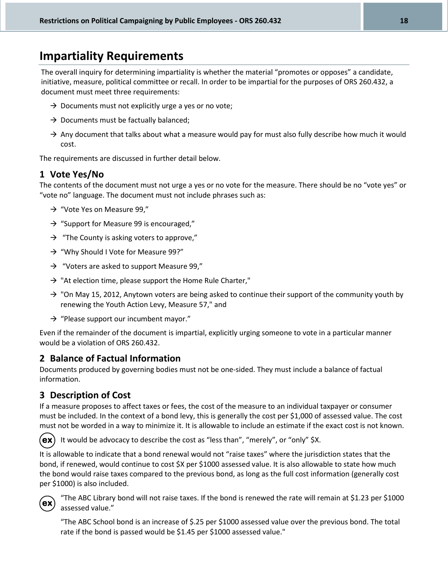### **Impartiality Requirements**

The overall inquiry for determining impartiality is whether the material "promotes or opposes" a candidate, initiative, measure, political committee or recall. In order to be impartial for the purposes of ORS 260.432, a document must meet three requirements:

- $\rightarrow$  Documents must not explicitly urge a yes or no vote;
- $\rightarrow$  Documents must be factually balanced;
- $\rightarrow$  Any document that talks about what a measure would pay for must also fully describe how much it would cost.

The requirements are discussed in further detail below.

### **1 Vote Yes/No**

The contents of the document must not urge a yes or no vote for the measure. There should be no "vote yes" or "vote no" language. The document must not include phrases such as:

- $\rightarrow$  "Vote Yes on Measure 99,"
- $\rightarrow$  "Support for Measure 99 is encouraged,"
- $\rightarrow$  "The County is asking voters to approve,"
- $\rightarrow$  "Why Should I Vote for Measure 99?"
- $\rightarrow$  "Voters are asked to support Measure 99,"
- $\rightarrow$  "At election time, please support the Home Rule Charter,"
- $\rightarrow$  "On May 15, 2012, Anytown voters are being asked to continue their support of the community youth by renewing the Youth Action Levy, Measure 57," and
- $\rightarrow$  "Please support our incumbent mayor."

Even if the remainder of the document is impartial, explicitly urging someone to vote in a particular manner would be a violation of ORS 260.432.

### **2 Balance of Factual Information**

Documents produced by governing bodies must not be one-sided. They must include a balance of factual information.

### **3 Description of Cost**

If a measure proposes to affect taxes or fees, the cost of the measure to an individual taxpayer or consumer must be included. In the context of a bond levy, this is generally the cost per \$1,000 of assessed value. The cost must not be worded in a way to minimize it. It is allowable to include an estimate if the exact cost is not known.



It would be advocacy to describe the cost as "less than", "merely", or "only" \$X.

It is allowable to indicate that a bond renewal would not "raise taxes" where the jurisdiction states that the bond, if renewed, would continue to cost \$X per \$1000 assessed value. It is also allowable to state how much the bond would raise taxes compared to the previous bond, as long as the full cost information (generally cost per \$1000) is also included.



"The ABC Library bond will not raise taxes. If the bond is renewed the rate will remain at \$1.23 per \$1000 assessed value."

"The ABC School bond is an increase of \$.25 per \$1000 assessed value over the previous bond. The total rate if the bond is passed would be \$1.45 per \$1000 assessed value."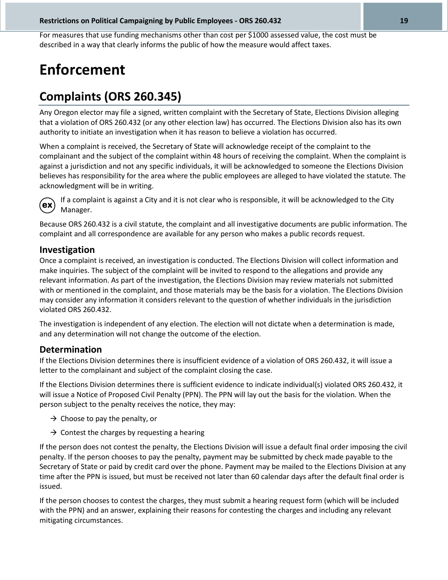For measures that use funding mechanisms other than cost per \$1000 assessed value, the cost must be described in a way that clearly informs the public of how the measure would affect taxes.

# **Enforcement**

### **Complaints (ORS 260.345)**

Any Oregon elector may file a signed, written complaint with the Secretary of State, Elections Division alleging that a violation of ORS 260.432 (or any other election law) has occurred. The Elections Division also has its own authority to initiate an investigation when it has reason to believe a violation has occurred.

When a complaint is received, the Secretary of State will acknowledge receipt of the complaint to the complainant and the subject of the complaint within 48 hours of receiving the complaint. When the complaint is against a jurisdiction and not any specific individuals, it will be acknowledged to someone the Elections Division believes has responsibility for the area where the public employees are alleged to have violated the statute. The acknowledgment will be in writing.



If a complaint is against a City and it is not clear who is responsible, it will be acknowledged to the City Manager.

Because ORS 260.432 is a civil statute, the complaint and all investigative documents are public information. The complaint and all correspondence are available for any person who makes a public records request.

### **Investigation**

Once a complaint is received, an investigation is conducted. The Elections Division will collect information and make inquiries. The subject of the complaint will be invited to respond to the allegations and provide any relevant information. As part of the investigation, the Elections Division may review materials not submitted with or mentioned in the complaint, and those materials may be the basis for a violation. The Elections Division may consider any information it considers relevant to the question of whether individuals in the jurisdiction violated ORS 260.432.

The investigation is independent of any election. The election will not dictate when a determination is made, and any determination will not change the outcome of the election.

### **Determination**

If the Elections Division determines there is insufficient evidence of a violation of ORS 260.432, it will issue a letter to the complainant and subject of the complaint closing the case.

If the Elections Division determines there is sufficient evidence to indicate individual(s) violated ORS 260.432, it will issue a Notice of Proposed Civil Penalty (PPN). The PPN will lay out the basis for the violation. When the person subject to the penalty receives the notice, they may:

- $\rightarrow$  Choose to pay the penalty, or
- $\rightarrow$  Contest the charges by requesting a hearing

If the person does not contest the penalty, the Elections Division will issue a default final order imposing the civil penalty. If the person chooses to pay the penalty, payment may be submitted by check made payable to the Secretary of State or paid by credit card over the phone. Payment may be mailed to the Elections Division at any time after the PPN is issued, but must be received not later than 60 calendar days after the default final order is issued.

If the person chooses to contest the charges, they must submit a hearing request form (which will be included with the PPN) and an answer, explaining their reasons for contesting the charges and including any relevant mitigating circumstances.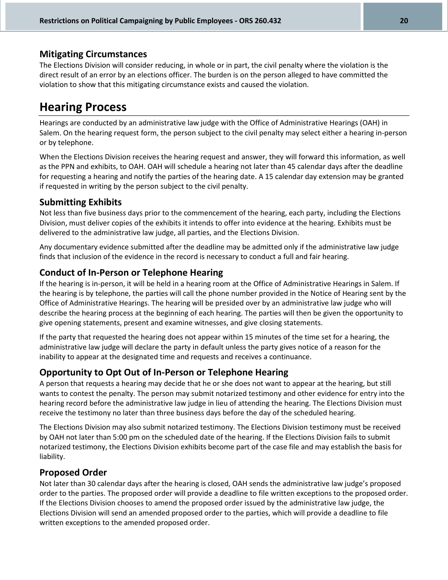### **Mitigating Circumstances**

The Elections Division will consider reducing, in whole or in part, the civil penalty where the violation is the direct result of an error by an elections officer. The burden is on the person alleged to have committed the violation to show that this mitigating circumstance exists and caused the violation.

### **Hearing Process**

Hearings are conducted by an administrative law judge with the Office of Administrative Hearings (OAH) in Salem. On the hearing request form, the person subject to the civil penalty may select either a hearing in-person or by telephone.

When the Elections Division receives the hearing request and answer, they will forward this information, as well as the PPN and exhibits, to OAH. OAH will schedule a hearing not later than 45 calendar days after the deadline for requesting a hearing and notify the parties of the hearing date. A 15 calendar day extension may be granted if requested in writing by the person subject to the civil penalty.

### **Submitting Exhibits**

Not less than five business days prior to the commencement of the hearing, each party, including the Elections Division, must deliver copies of the exhibits it intends to offer into evidence at the hearing. Exhibits must be delivered to the administrative law judge, all parties, and the Elections Division.

Any documentary evidence submitted after the deadline may be admitted only if the administrative law judge finds that inclusion of the evidence in the record is necessary to conduct a full and fair hearing.

### **Conduct of In-Person or Telephone Hearing**

If the hearing is in-person, it will be held in a hearing room at the Office of Administrative Hearings in Salem. If the hearing is by telephone, the parties will call the phone number provided in the Notice of Hearing sent by the Office of Administrative Hearings. The hearing will be presided over by an administrative law judge who will describe the hearing process at the beginning of each hearing. The parties will then be given the opportunity to give opening statements, present and examine witnesses, and give closing statements.

If the party that requested the hearing does not appear within 15 minutes of the time set for a hearing, the administrative law judge will declare the party in default unless the party gives notice of a reason for the inability to appear at the designated time and requests and receives a continuance.

### **Opportunity to Opt Out of In-Person or Telephone Hearing**

A person that requests a hearing may decide that he or she does not want to appear at the hearing, but still wants to contest the penalty. The person may submit notarized testimony and other evidence for entry into the hearing record before the administrative law judge in lieu of attending the hearing. The Elections Division must receive the testimony no later than three business days before the day of the scheduled hearing.

The Elections Division may also submit notarized testimony. The Elections Division testimony must be received by OAH not later than 5:00 pm on the scheduled date of the hearing. If the Elections Division fails to submit notarized testimony, the Elections Division exhibits become part of the case file and may establish the basis for liability.

#### **Proposed Order**

Not later than 30 calendar days after the hearing is closed, OAH sends the administrative law judge's proposed order to the parties. The proposed order will provide a deadline to file written exceptions to the proposed order. If the Elections Division chooses to amend the proposed order issued by the administrative law judge, the Elections Division will send an amended proposed order to the parties, which will provide a deadline to file written exceptions to the amended proposed order.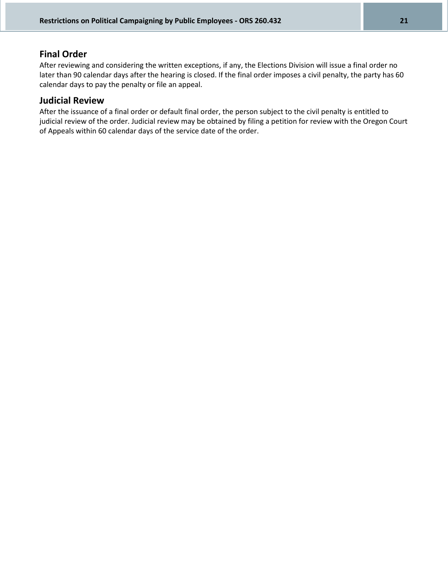### **Final Order**

After reviewing and considering the written exceptions, if any, the Elections Division will issue a final order no later than 90 calendar days after the hearing is closed. If the final order imposes a civil penalty, the party has 60 calendar days to pay the penalty or file an appeal.

### **Judicial Review**

After the issuance of a final order or default final order, the person subject to the civil penalty is entitled to judicial review of the order. Judicial review may be obtained by filing a petition for review with the Oregon Court of Appeals within 60 calendar days of the service date of the order.